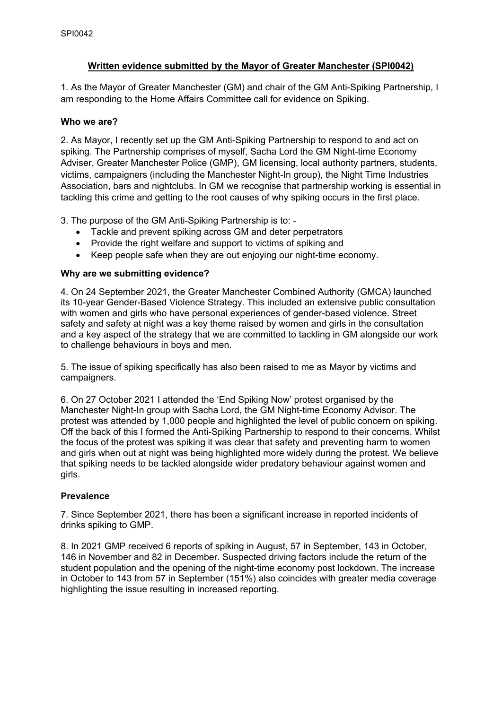# **Written evidence submitted by the Mayor of Greater Manchester (SPI0042)**

1. As the Mayor of Greater Manchester (GM) and chair of the GM Anti-Spiking Partnership, I am responding to the Home Affairs Committee call for evidence on Spiking.

### **Who we are?**

2. As Mayor, I recently set up the GM Anti-Spiking Partnership to respond to and act on spiking. The Partnership comprises of myself, Sacha Lord the GM Night-time Economy Adviser, Greater Manchester Police (GMP), GM licensing, local authority partners, students, victims, campaigners (including the Manchester Night-In group), the Night Time Industries Association, bars and nightclubs. In GM we recognise that partnership working is essential in tackling this crime and getting to the root causes of why spiking occurs in the first place.

3. The purpose of the GM Anti-Spiking Partnership is to: -

- Tackle and prevent spiking across GM and deter perpetrators
- Provide the right welfare and support to victims of spiking and
- Keep people safe when they are out enjoying our night-time economy.

### **Why are we submitting evidence?**

4. On 24 September 2021, the Greater Manchester Combined Authority (GMCA) launched its 10-year Gender-Based Violence Strategy. This included an extensive public consultation with women and girls who have personal experiences of gender-based violence. Street safety and safety at night was a key theme raised by women and girls in the consultation and a key aspect of the strategy that we are committed to tackling in GM alongside our work to challenge behaviours in boys and men.

5. The issue of spiking specifically has also been raised to me as Mayor by victims and campaigners.

6. On 27 October 2021 I attended the 'End Spiking Now' protest organised by the Manchester Night-In group with Sacha Lord, the GM Night-time Economy Advisor. The protest was attended by 1,000 people and highlighted the level of public concern on spiking. Off the back of this I formed the Anti-Spiking Partnership to respond to their concerns. Whilst the focus of the protest was spiking it was clear that safety and preventing harm to women and girls when out at night was being highlighted more widely during the protest. We believe that spiking needs to be tackled alongside wider predatory behaviour against women and girls.

### **Prevalence**

7. Since September 2021, there has been a significant increase in reported incidents of drinks spiking to GMP.

8. In 2021 GMP received 6 reports of spiking in August, 57 in September, 143 in October, 146 in November and 82 in December. Suspected driving factors include the return of the student population and the opening of the night-time economy post lockdown. The increase in October to 143 from 57 in September (151%) also coincides with greater media coverage highlighting the issue resulting in increased reporting.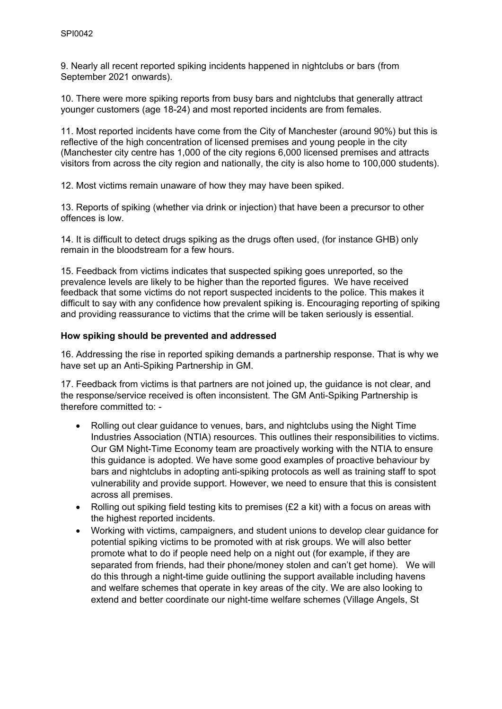9. Nearly all recent reported spiking incidents happened in nightclubs or bars (from September 2021 onwards).

10. There were more spiking reports from busy bars and nightclubs that generally attract younger customers (age 18-24) and most reported incidents are from females.

11. Most reported incidents have come from the City of Manchester (around 90%) but this is reflective of the high concentration of licensed premises and young people in the city (Manchester city centre has 1,000 of the city regions 6,000 licensed premises and attracts visitors from across the city region and nationally, the city is also home to 100,000 students).

12. Most victims remain unaware of how they may have been spiked.

13. Reports of spiking (whether via drink or injection) that have been a precursor to other offences is low.

14. It is difficult to detect drugs spiking as the drugs often used, (for instance GHB) only remain in the bloodstream for a few hours.

15. Feedback from victims indicates that suspected spiking goes unreported, so the prevalence levels are likely to be higher than the reported figures. We have received feedback that some victims do not report suspected incidents to the police. This makes it difficult to say with any confidence how prevalent spiking is. Encouraging reporting of spiking and providing reassurance to victims that the crime will be taken seriously is essential.

#### **How spiking should be prevented and addressed**

16. Addressing the rise in reported spiking demands a partnership response. That is why we have set up an Anti-Spiking Partnership in GM.

17. Feedback from victims is that partners are not joined up, the guidance is not clear, and the response/service received is often inconsistent. The GM Anti-Spiking Partnership is therefore committed to: -

- Rolling out clear guidance to venues, bars, and nightclubs using the Night Time Industries Association (NTIA) resources. This outlines their responsibilities to victims. Our GM Night-Time Economy team are proactively working with the NTIA to ensure this guidance is adopted. We have some good examples of proactive behaviour by bars and nightclubs in adopting anti-spiking protocols as well as training staff to spot vulnerability and provide support. However, we need to ensure that this is consistent across all premises.
- Rolling out spiking field testing kits to premises (£2 a kit) with a focus on areas with the highest reported incidents.
- Working with victims, campaigners, and student unions to develop clear guidance for potential spiking victims to be promoted with at risk groups. We will also better promote what to do if people need help on a night out (for example, if they are separated from friends, had their phone/money stolen and can't get home). We will do this through a night-time guide outlining the support available including havens and welfare schemes that operate in key areas of the city. We are also looking to extend and better coordinate our night-time welfare schemes (Village Angels, St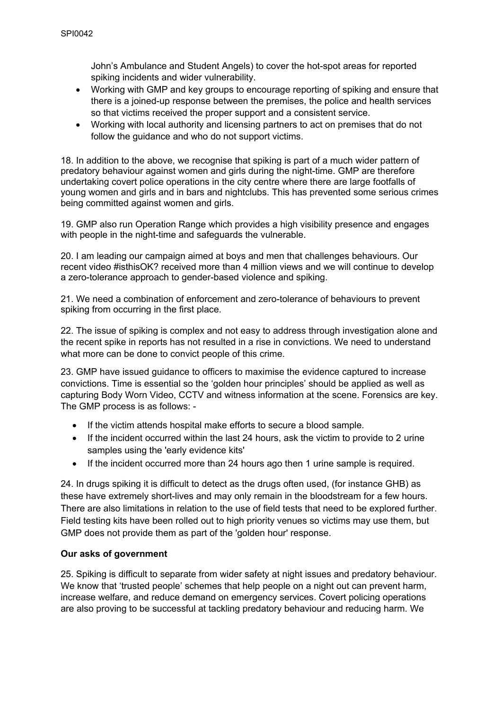John's Ambulance and Student Angels) to cover the hot-spot areas for reported spiking incidents and wider vulnerability.

- Working with GMP and key groups to encourage reporting of spiking and ensure that there is a joined-up response between the premises, the police and health services so that victims received the proper support and a consistent service.
- Working with local authority and licensing partners to act on premises that do not follow the guidance and who do not support victims.

18. In addition to the above, we recognise that spiking is part of a much wider pattern of predatory behaviour against women and girls during the night-time. GMP are therefore undertaking covert police operations in the city centre where there are large footfalls of young women and girls and in bars and nightclubs. This has prevented some serious crimes being committed against women and girls.

19. GMP also run Operation Range which provides a high visibility presence and engages with people in the night-time and safeguards the vulnerable.

20. I am leading our campaign aimed at boys and men that challenges behaviours. Our recent video #isthisOK? received more than 4 million views and we will continue to develop a zero-tolerance approach to gender-based violence and spiking.

21. We need a combination of enforcement and zero-tolerance of behaviours to prevent spiking from occurring in the first place.

22. The issue of spiking is complex and not easy to address through investigation alone and the recent spike in reports has not resulted in a rise in convictions. We need to understand what more can be done to convict people of this crime.

23. GMP have issued guidance to officers to maximise the evidence captured to increase convictions. Time is essential so the 'golden hour principles' should be applied as well as capturing Body Worn Video, CCTV and witness information at the scene. Forensics are key. The GMP process is as follows: -

- If the victim attends hospital make efforts to secure a blood sample.
- If the incident occurred within the last 24 hours, ask the victim to provide to 2 urine samples using the 'early evidence kits'
- If the incident occurred more than 24 hours ago then 1 urine sample is required.

24. In drugs spiking it is difficult to detect as the drugs often used, (for instance GHB) as these have extremely short-lives and may only remain in the bloodstream for a few hours. There are also limitations in relation to the use of field tests that need to be explored further. Field testing kits have been rolled out to high priority venues so victims may use them, but GMP does not provide them as part of the 'golden hour' response.

### **Our asks of government**

25. Spiking is difficult to separate from wider safety at night issues and predatory behaviour. We know that 'trusted people' schemes that help people on a night out can prevent harm, increase welfare, and reduce demand on emergency services. Covert policing operations are also proving to be successful at tackling predatory behaviour and reducing harm. We